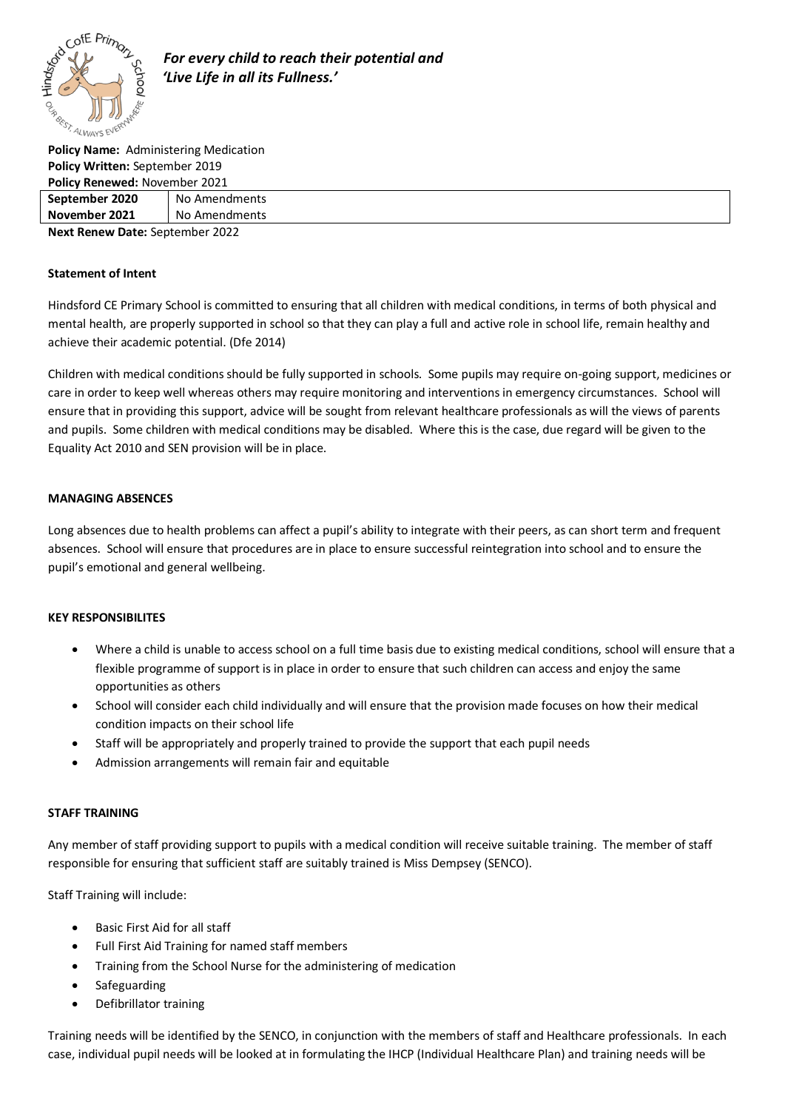

 *For every child to reach their potential and 'Live Life in all its Fullness.'*

**Policy Name:** Administering Medication **Policy Written:** September 2019 **Policy Renewed:** November 2021

| <b>PUILLY NEITEWED. NUVEITIDEL ZUZI</b> |               |
|-----------------------------------------|---------------|
| September 2020                          | No Amendments |
| November 2021                           | No Amendments |
| <b>Next Renew Date: September 2022</b>  |               |

**Statement of Intent** 

Hindsford CE Primary School is committed to ensuring that all children with medical conditions, in terms of both physical and mental health, are properly supported in school so that they can play a full and active role in school life, remain healthy and achieve their academic potential. (Dfe 2014)

Children with medical conditions should be fully supported in schools. Some pupils may require on-going support, medicines or care in order to keep well whereas others may require monitoring and interventions in emergency circumstances. School will ensure that in providing this support, advice will be sought from relevant healthcare professionals as will the views of parents and pupils. Some children with medical conditions may be disabled. Where this is the case, due regard will be given to the Equality Act 2010 and SEN provision will be in place.

### **MANAGING ABSENCES**

Long absences due to health problems can affect a pupil's ability to integrate with their peers, as can short term and frequent absences. School will ensure that procedures are in place to ensure successful reintegration into school and to ensure the pupil's emotional and general wellbeing.

### **KEY RESPONSIBILITES**

- Where a child is unable to access school on a full time basis due to existing medical conditions, school will ensure that a flexible programme of support is in place in order to ensure that such children can access and enjoy the same opportunities as others
- School will consider each child individually and will ensure that the provision made focuses on how their medical condition impacts on their school life
- Staff will be appropriately and properly trained to provide the support that each pupil needs
- Admission arrangements will remain fair and equitable

### **STAFF TRAINING**

Any member of staff providing support to pupils with a medical condition will receive suitable training. The member of staff responsible for ensuring that sufficient staff are suitably trained is Miss Dempsey (SENCO).

Staff Training will include:

- Basic First Aid for all staff
- Full First Aid Training for named staff members
- Training from the School Nurse for the administering of medication
- **Safeguarding**
- Defibrillator training

Training needs will be identified by the SENCO, in conjunction with the members of staff and Healthcare professionals. In each case, individual pupil needs will be looked at in formulating the IHCP (Individual Healthcare Plan) and training needs will be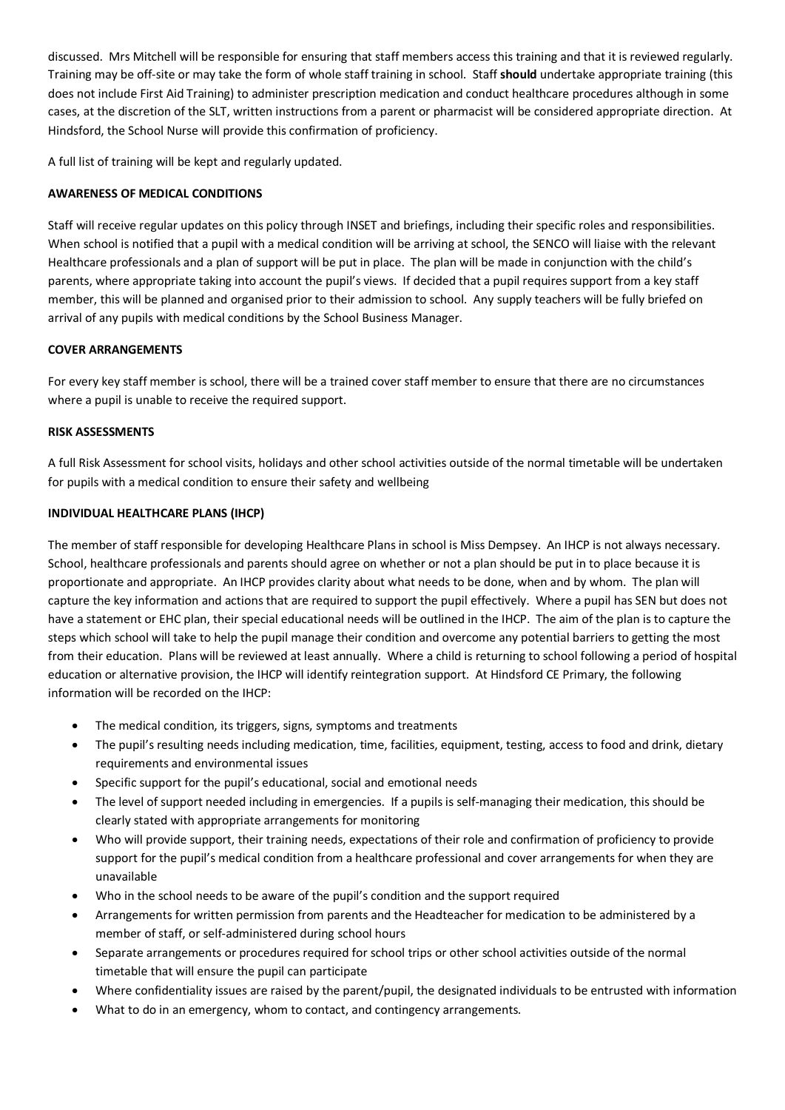discussed. Mrs Mitchell will be responsible for ensuring that staff members access this training and that it is reviewed regularly. Training may be off-site or may take the form of whole staff training in school. Staff **should** undertake appropriate training (this does not include First Aid Training) to administer prescription medication and conduct healthcare procedures although in some cases, at the discretion of the SLT, written instructions from a parent or pharmacist will be considered appropriate direction. At Hindsford, the School Nurse will provide this confirmation of proficiency.

A full list of training will be kept and regularly updated.

# **AWARENESS OF MEDICAL CONDITIONS**

Staff will receive regular updates on this policy through INSET and briefings, including their specific roles and responsibilities. When school is notified that a pupil with a medical condition will be arriving at school, the SENCO will liaise with the relevant Healthcare professionals and a plan of support will be put in place. The plan will be made in conjunction with the child's parents, where appropriate taking into account the pupil's views. If decided that a pupil requires support from a key staff member, this will be planned and organised prior to their admission to school. Any supply teachers will be fully briefed on arrival of any pupils with medical conditions by the School Business Manager.

## **COVER ARRANGEMENTS**

For every key staff member is school, there will be a trained cover staff member to ensure that there are no circumstances where a pupil is unable to receive the required support.

### **RISK ASSESSMENTS**

A full Risk Assessment for school visits, holidays and other school activities outside of the normal timetable will be undertaken for pupils with a medical condition to ensure their safety and wellbeing

## **INDIVIDUAL HEALTHCARE PLANS (IHCP)**

The member of staff responsible for developing Healthcare Plans in school is Miss Dempsey. An IHCP is not always necessary. School, healthcare professionals and parents should agree on whether or not a plan should be put in to place because it is proportionate and appropriate. An IHCP provides clarity about what needs to be done, when and by whom. The plan will capture the key information and actions that are required to support the pupil effectively. Where a pupil has SEN but does not have a statement or EHC plan, their special educational needs will be outlined in the IHCP. The aim of the plan is to capture the steps which school will take to help the pupil manage their condition and overcome any potential barriers to getting the most from their education. Plans will be reviewed at least annually. Where a child is returning to school following a period of hospital education or alternative provision, the IHCP will identify reintegration support. At Hindsford CE Primary, the following information will be recorded on the IHCP:

- The medical condition, its triggers, signs, symptoms and treatments
- The pupil's resulting needs including medication, time, facilities, equipment, testing, access to food and drink, dietary requirements and environmental issues
- Specific support for the pupil's educational, social and emotional needs
- The level of support needed including in emergencies. If a pupils is self-managing their medication, this should be clearly stated with appropriate arrangements for monitoring
- Who will provide support, their training needs, expectations of their role and confirmation of proficiency to provide support for the pupil's medical condition from a healthcare professional and cover arrangements for when they are unavailable
- Who in the school needs to be aware of the pupil's condition and the support required
- Arrangements for written permission from parents and the Headteacher for medication to be administered by a member of staff, or self-administered during school hours
- Separate arrangements or procedures required for school trips or other school activities outside of the normal timetable that will ensure the pupil can participate
- Where confidentiality issues are raised by the parent/pupil, the designated individuals to be entrusted with information
- What to do in an emergency, whom to contact, and contingency arrangements.